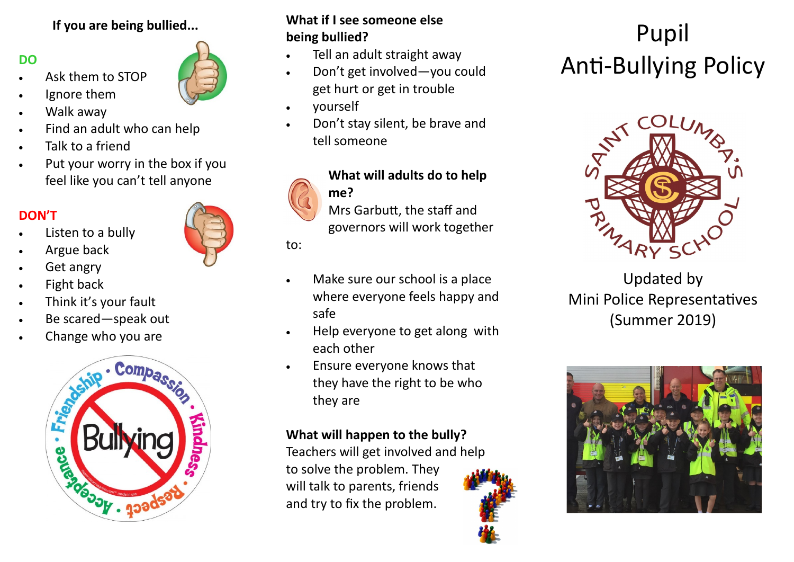### **If you are being bullied...**

### **DO**

- Ask them to STOP
- Ignore them
- Walk away
- Find an adult who can help
- Talk to a friend
- Put your worry in the box if you feel like you can't tell anyone

## **DON'T**

- Listen to a bully
- Argue back
- Get angry
- Fight back
- Think it's your fault
- Be scared—speak out
- Change who you are



### **What if I see someone else being bullied?**

- Tell an adult straight away
- Don't get involved—you could get hurt or get in trouble
- yourself
- Don't stay silent, be brave and tell someone



# **What will adults do to help me?**

Mrs Garbutt, the staff and governors will work together

to:

- Make sure our school is a place where everyone feels happy and safe
- Help everyone to get along with each other
- Ensure everyone knows that they have the right to be who they are

## **What will happen to the bully?**

Teachers will get involved and help to solve the problem. They will talk to parents, friends and try to fix the problem.



# Pupil Anti-Bullying Policy



Updated by Mini Police Representatives (Summer 2019)